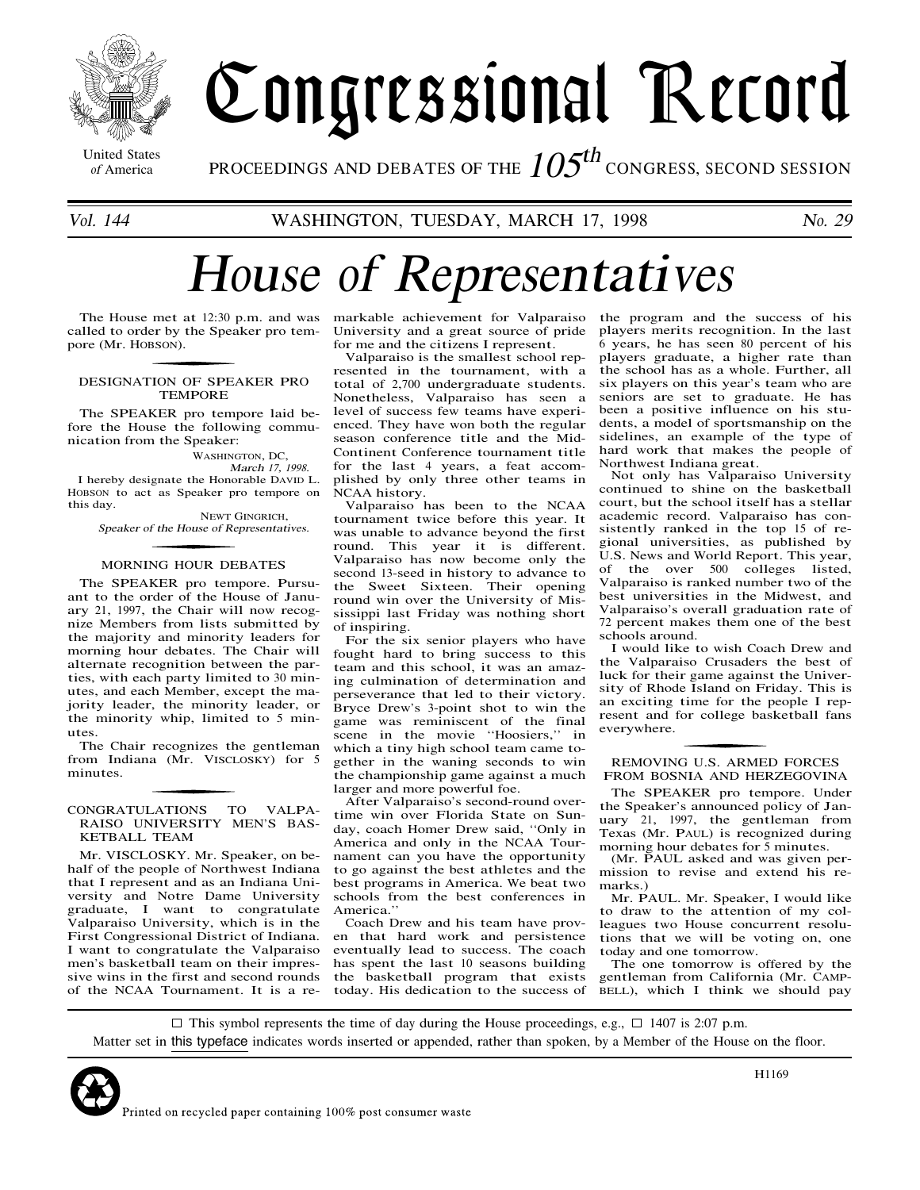

Congressional Record

United States

<sup>Inited States</sup> PROCEEDINGS AND DEBATES OF THE  $105^{th}$  congress, second session

# Hous<sup>e</sup> of Representative<sup>s</sup>

The House met at 12:30 p.m. and was called to order by the Speaker pro tempore (Mr. HOBSON).

### DESIGNATION OF SPEAKER PRO TEMPORE

The SPEAKER pro tempore laid before the House the following communication from the Speaker:

WASHINGTON, DC,

March 17, 1998. I hereby designate the Honorable DAVID L. HOBSON to act as Speaker pro tempore on this day.

NEWT GINGRICH, Speake<sup>r</sup> <sup>o</sup>f <sup>t</sup>h<sup>e</sup> Hous<sup>e</sup> <sup>o</sup>f Representatives.

## MORNING HOUR DEBATES

The SPEAKER pro tempore. Pursuant to the order of the House of January 21, 1997, the Chair will now recognize Members from lists submitted by the majority and minority leaders for morning hour debates. The Chair will alternate recognition between the parties, with each party limited to 30 minutes, and each Member, except the majority leader, the minority leader, or the minority whip, limited to 5 minutes.

The Chair recognizes the gentleman from Indiana (Mr. VISCLOSKY) for 5 minutes.

## CONGRATULATIONS TO VALPA-RAISO UNIVERSITY MEN'S BAS-KETBALL TEAM

Mr. VISCLOSKY. Mr. Speaker, on behalf of the people of Northwest Indiana that I represent and as an Indiana University and Notre Dame University graduate, I want to congratulate Valparaiso University, which is in the First Congressional District of Indiana. I want to congratulate the Valparaiso men's basketball team on their impressive wins in the first and second rounds of the NCAA Tournament. It is a re-

markable achievement for Valparaiso University and a great source of pride for me and the citizens I represent.

Valparaiso is the smallest school represented in the tournament, with a total of 2,700 undergraduate students. Nonetheless, Valparaiso has seen a level of success few teams have experienced. They have won both the regular season conference title and the Mid-Continent Conference tournament title for the last 4 years, a feat accomplished by only three other teams in NCAA history.

Valparaiso has been to the NCAA tournament twice before this year. It was unable to advance beyond the first round. This year it is different. Valparaiso has now become only the second 13-seed in history to advance to the Sweet Sixteen. Their opening round win over the University of Mississippi last Friday was nothing short of inspiring.

For the six senior players who have fought hard to bring success to this team and this school, it was an amazing culmination of determination and perseverance that led to their victory. Bryce Drew's 3-point shot to win the game was reminiscent of the final scene in the movie "Hoosiers," in which a tiny high school team came together in the waning seconds to win the championship game against a much larger and more powerful foe.

After Valparaiso's second-round overtime win over Florida State on Sunday, coach Homer Drew said, ''Only in America and only in the NCAA Tournament can you have the opportunity to go against the best athletes and the best programs in America. We beat two schools from the best conferences in America.''

Coach Drew and his team have proven that hard work and persistence eventually lead to success. The coach has spent the last 10 seasons building the basketball program that exists today. His dedication to the success of the program and the success of his players merits recognition. In the last 6 years, he has seen 80 percent of his players graduate, a higher rate than the school has as a whole. Further, all six players on this year's team who are seniors are set to graduate. He has been a positive influence on his students, a model of sportsmanship on the sidelines, an example of the type of hard work that makes the people of Northwest Indiana great.

Not only has Valparaiso University continued to shine on the basketball court, but the school itself has a stellar academic record. Valparaiso has consistently ranked in the top 15 of regional universities, as published by U.S. News and World Report. This year, of the over 500 colleges listed, Valparaiso is ranked number two of the best universities in the Midwest, and Valparaiso's overall graduation rate of 72 percent makes them one of the best schools around.

I would like to wish Coach Drew and the Valparaiso Crusaders the best of luck for their game against the University of Rhode Island on Friday. This is an exciting time for the people I represent and for college basketball fans everywhere.

# REMOVING U.S. ARMED FORCES FROM BOSNIA AND HERZEGOVINA

The SPEAKER pro tempore. Under the Speaker's announced policy of January 21, 1997, the gentleman from Texas (Mr. PAUL) is recognized during morning hour debates for 5 minutes.

(Mr. PAUL asked and was given permission to revise and extend his remarks.)

Mr. PAUL. Mr. Speaker, I would like to draw to the attention of my colleagues two House concurrent resolutions that we will be voting on, one today and one tomorrow.

The one tomorrow is offered by the gentleman from California (Mr. CAMP-BELL), which I think we should pay

 $\Box$  This symbol represents the time of day during the House proceedings, e.g.,  $\Box$  1407 is 2:07 p.m. Matter set in this typeface indicates <sup>w</sup>ords inserted or appended, rather than spoken, by a Member of the <sup>H</sup>ouse on the floor.